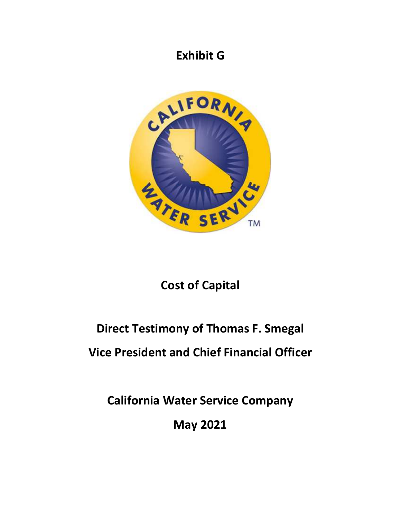# **Exhibit G**



# **Cost of Capital**

# **Direct Testimony of Thomas F. Smegal**

# **Vice President and Chief Financial Officer**

**California Water Service Company** 

**May 2021**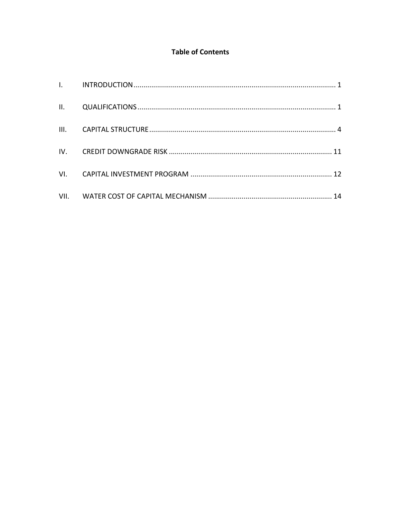## **Table of Contents**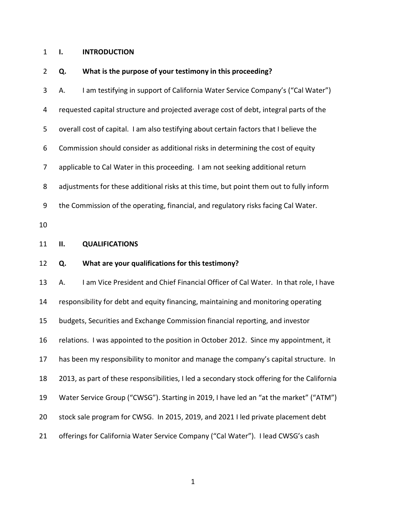#### <span id="page-2-0"></span>1 **I. INTRODUCTION**

#### 2 **Q. What is the purpose of your testimony in this proceeding?**

<span id="page-2-1"></span>3 A. I am testifying in support of California Water Service Company's ("Cal Water") 4 requested capital structure and projected average cost of debt, integral parts of the 5 overall cost of capital. I am also testifying about certain factors that I believe the 6 Commission should consider as additional risks in determining the cost of equity 7 applicable to Cal Water in this proceeding. I am not seeking additional return 8 adjustments for these additional risks at this time, but point them out to fully inform 9 the Commission of the operating, financial, and regulatory risks facing Cal Water. 10 11 **II. QUALIFICATIONS**  12 **Q. What are your qualifications for this testimony?**  13 A. I am Vice President and Chief Financial Officer of Cal Water. In that role, I have 14 responsibility for debt and equity financing, maintaining and monitoring operating 15 budgets, Securities and Exchange Commission financial reporting, and investor 16 relations. I was appointed to the position in October 2012. Since my appointment, it 17 has been my responsibility to monitor and manage the company's capital structure. In 18 2013, as part of these responsibilities, I led a secondary stock offering for the California 19 Water Service Group ("CWSG"). Starting in 2019, I have led an "at the market" ("ATM") 20 stock sale program for CWSG. In 2015, 2019, and 2021 I led private placement debt 21 offerings for California Water Service Company ("Cal Water"). I lead CWSG's cash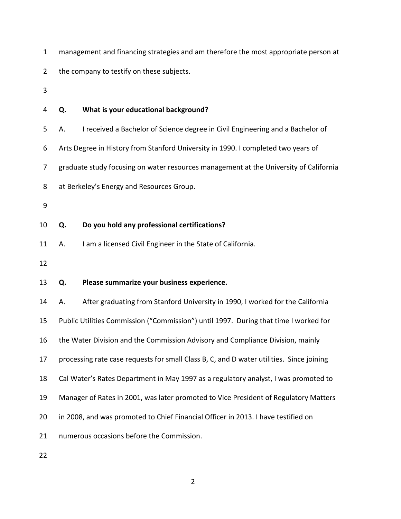|  |  |  |  |  | management and financing strategies and am therefore the most appropriate person at |
|--|--|--|--|--|-------------------------------------------------------------------------------------|
|--|--|--|--|--|-------------------------------------------------------------------------------------|

2 the company to testify on these subjects.

3

# 4 **Q. What is your educational background?**  5 A. I received a Bachelor of Science degree in Civil Engineering and a Bachelor of 6 Arts Degree in History from Stanford University in 1990. I completed two years of 7 graduate study focusing on water resources management at the University of California 8 at Berkeley's Energy and Resources Group. 9 10 **Q. Do you hold any professional certifications?**  11 A. I am a licensed Civil Engineer in the State of California. 12 13 **Q. Please summarize your business experience.**  14 A. After graduating from Stanford University in 1990, I worked for the California 15 Public Utilities Commission ("Commission") until 1997. During that time I worked for 16 the Water Division and the Commission Advisory and Compliance Division, mainly 17 processing rate case requests for small Class B, C, and D water utilities. Since joining 18 Cal Water's Rates Department in May 1997 as a regulatory analyst, I was promoted to 19 Manager of Rates in 2001, was later promoted to Vice President of Regulatory Matters 20 in 2008, and was promoted to Chief Financial Officer in 2013. I have testified on 21 numerous occasions before the Commission.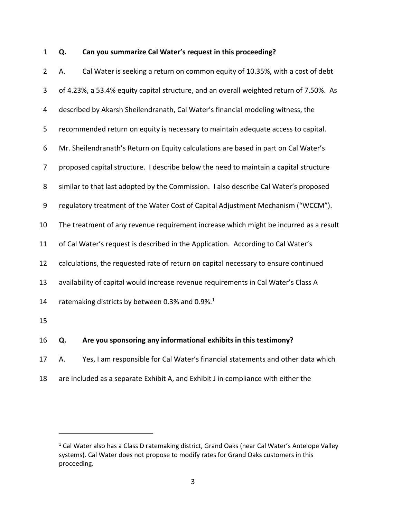## 1 **Q. Can you summarize Cal Water's request in this proceeding?**

| $\overline{2}$ | Cal Water is seeking a return on common equity of 10.35%, with a cost of debt<br>А.     |  |
|----------------|-----------------------------------------------------------------------------------------|--|
| 3              | of 4.23%, a 53.4% equity capital structure, and an overall weighted return of 7.50%. As |  |
| $\overline{4}$ | described by Akarsh Sheilendranath, Cal Water's financial modeling witness, the         |  |
| 5              | recommended return on equity is necessary to maintain adequate access to capital.       |  |
| 6              | Mr. Sheilendranath's Return on Equity calculations are based in part on Cal Water's     |  |
| 7              | proposed capital structure. I describe below the need to maintain a capital structure   |  |
| 8              | similar to that last adopted by the Commission. I also describe Cal Water's proposed    |  |
| 9              | regulatory treatment of the Water Cost of Capital Adjustment Mechanism ("WCCM").        |  |
| 10             | The treatment of any revenue requirement increase which might be incurred as a result   |  |
| 11             | of Cal Water's request is described in the Application. According to Cal Water's        |  |
| 12             | calculations, the requested rate of return on capital necessary to ensure continued     |  |
| 13             | availability of capital would increase revenue requirements in Cal Water's Class A      |  |
| 14             | ratemaking districts by between 0.3% and 0.9%. <sup>1</sup>                             |  |
| 15             |                                                                                         |  |
| 16             | Are you sponsoring any informational exhibits in this testimony?<br>Q.                  |  |
| 17             | Yes, I am responsible for Cal Water's financial statements and other data which<br>А.   |  |
| 18             | are included as a separate Exhibit A, and Exhibit J in compliance with either the       |  |

<sup>&</sup>lt;sup>1</sup> Cal Water also has a Class D ratemaking district, Grand Oaks (near Cal Water's Antelope Valley systems). Cal Water does not propose to modify rates for Grand Oaks customers in this proceeding.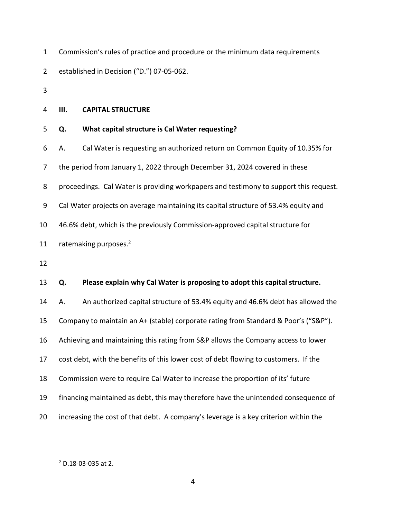|              | Commission's rules of practice and procedure or the minimum data requirements |
|--------------|-------------------------------------------------------------------------------|
| $\mathbf{2}$ | established in Decision ("D.") 07-05-062.                                     |

3

#### <span id="page-5-0"></span>4 **III. CAPITAL STRUCTURE**

#### 5 **Q. What capital structure is Cal Water requesting?**

6 A. Cal Water is requesting an authorized return on Common Equity of 10.35% for

7 the period from January 1, 2022 through December 31, 2024 covered in these

8 proceedings. Cal Water is providing workpapers and testimony to support this request.

9 Cal Water projects on average maintaining its capital structure of 53.4% equity and

10 46.6% debt, which is the previously Commission-approved capital structure for

11 ratemaking purposes. $2$ 

12

#### 13 **Q. Please explain why Cal Water is proposing to adopt this capital structure.**

14 A. An authorized capital structure of 53.4% equity and 46.6% debt has allowed the 15 Company to maintain an A+ (stable) corporate rating from Standard & Poor's ("S&P"). 16 Achieving and maintaining this rating from S&P allows the Company access to lower

- 17 cost debt, with the benefits of this lower cost of debt flowing to customers. If the
- 18 Commission were to require Cal Water to increase the proportion of its' future
- 19 financing maintained as debt, this may therefore have the unintended consequence of
- 20 increasing the cost of that debt. A company's leverage is a key criterion within the

<sup>2</sup> D.18-03-035 at 2.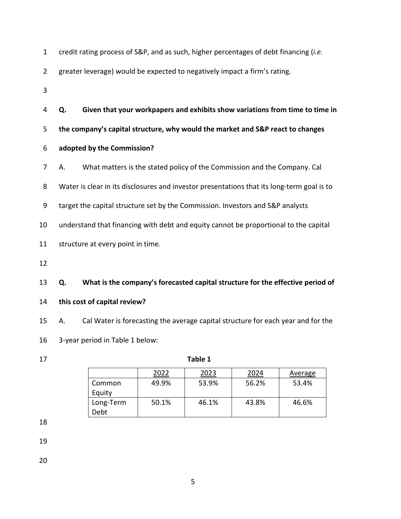| $\mathbf{1}$   |    | credit rating process of S&P, and as such, higher percentages of debt financing (i.e.      |
|----------------|----|--------------------------------------------------------------------------------------------|
| $\overline{2}$ |    | greater leverage) would be expected to negatively impact a firm's rating.                  |
| 3              |    |                                                                                            |
| 4              | Q. | Given that your workpapers and exhibits show variations from time to time in               |
| 5              |    | the company's capital structure, why would the market and S&P react to changes             |
| 6              |    | adopted by the Commission?                                                                 |
| 7              | А. | What matters is the stated policy of the Commission and the Company. Cal                   |
| 8              |    | Water is clear in its disclosures and investor presentations that its long-term goal is to |
| 9              |    | target the capital structure set by the Commission. Investors and S&P analysts             |
| 10             |    | understand that financing with debt and equity cannot be proportional to the capital       |
| 11             |    | structure at every point in time.                                                          |
| 12             |    |                                                                                            |
| 13             | Q. | What is the company's forecasted capital structure for the effective period of             |
| 14             |    | this cost of capital review?                                                               |
| 15             | А. | Cal Water is forecasting the average capital structure for each year and for the           |
| 16             |    | 3-year period in Table 1 below:                                                            |

## 17 **Table 1**

|                   | 2022  | 2023  | 2024  | Average |
|-------------------|-------|-------|-------|---------|
| Common<br>Equity  | 49.9% | 53.9% | 56.2% | 53.4%   |
| Long-Term<br>Debt | 50.1% | 46.1% | 43.8% | 46.6%   |

18

19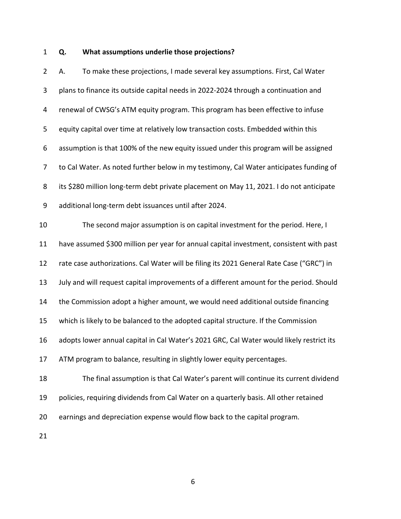#### 1 **Q. What assumptions underlie those projections?**

2 A. To make these projections, I made several key assumptions. First, Cal Water 3 plans to finance its outside capital needs in 2022-2024 through a continuation and 4 renewal of CWSG's ATM equity program. This program has been effective to infuse 5 equity capital over time at relatively low transaction costs. Embedded within this 6 assumption is that 100% of the new equity issued under this program will be assigned 7 to Cal Water. As noted further below in my testimony, Cal Water anticipates funding of 8 its \$280 million long-term debt private placement on May 11, 2021. I do not anticipate 9 additional long-term debt issuances until after 2024. 10 The second major assumption is on capital investment for the period. Here, I 11 have assumed \$300 million per year for annual capital investment, consistent with past 12 rate case authorizations. Cal Water will be filing its 2021 General Rate Case ("GRC") in 13 July and will request capital improvements of a different amount for the period. Should 14 the Commission adopt a higher amount, we would need additional outside financing 15 which is likely to be balanced to the adopted capital structure. If the Commission 16 adopts lower annual capital in Cal Water's 2021 GRC, Cal Water would likely restrict its 17 ATM program to balance, resulting in slightly lower equity percentages. 18 The final assumption is that Cal Water's parent will continue its current dividend 19 policies, requiring dividends from Cal Water on a quarterly basis. All other retained 20 earnings and depreciation expense would flow back to the capital program.

21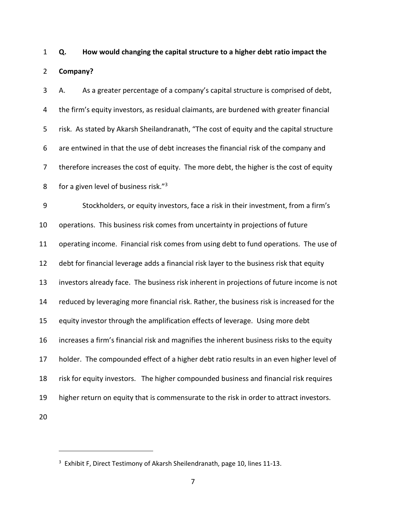1 **Q. How would changing the capital structure to a higher debt ratio impact the**  2 **Company?** 

3 A. As a greater percentage of a company's capital structure is comprised of debt, 4 the firm's equity investors, as residual claimants, are burdened with greater financial 5 risk. As stated by Akarsh Sheilandranath, "The cost of equity and the capital structure 6 are entwined in that the use of debt increases the financial risk of the company and 7 therefore increases the cost of equity. The more debt, the higher is the cost of equity 8 for a given level of business risk. $^{73}$ 

9 Stockholders, or equity investors, face a risk in their investment, from a firm's 10 operations. This business risk comes from uncertainty in projections of future 11 operating income. Financial risk comes from using debt to fund operations. The use of 12 debt for financial leverage adds a financial risk layer to the business risk that equity 13 investors already face. The business risk inherent in projections of future income is not 14 reduced by leveraging more financial risk. Rather, the business risk is increased for the 15 equity investor through the amplification effects of leverage. Using more debt 16 increases a firm's financial risk and magnifies the inherent business risks to the equity 17 holder. The compounded effect of a higher debt ratio results in an even higher level of 18 risk for equity investors. The higher compounded business and financial risk requires 19 higher return on equity that is commensurate to the risk in order to attract investors. 20

<sup>&</sup>lt;sup>3</sup> Exhibit F, Direct Testimony of Akarsh Sheilendranath, page 10, lines 11-13.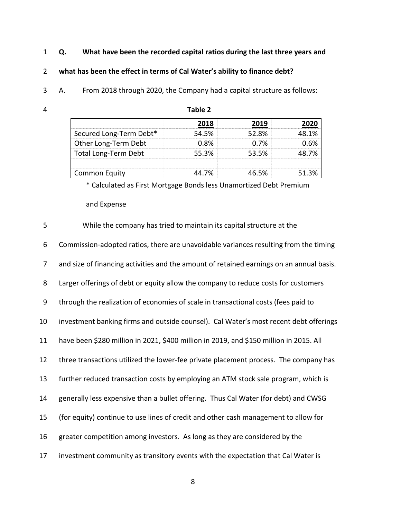## 1 **Q. What have been the recorded capital ratios during the last three years and**

## 2 **what has been the effect in terms of Cal Water's ability to finance debt?**

3 A. From 2018 through 2020, the Company had a capital structure as follows:

| л | Table 2 |
|---|---------|
|---|---------|

|                             |         | 71 Y  |  |
|-----------------------------|---------|-------|--|
| Secured Long-Term Debt*     | 54.5%   | 52.8% |  |
| Other Long-Term Debt        | በ Ջ%    | በ 7%  |  |
| <b>Total Long-Term Debt</b> | 553%    | 53.5% |  |
|                             |         |       |  |
| Common Equity               | 14 7% . |       |  |

\* Calculated as First Mortgage Bonds less Unamortized Debt Premium

and Expense

| 5  | While the company has tried to maintain its capital structure at the                     |
|----|------------------------------------------------------------------------------------------|
| 6  | Commission-adopted ratios, there are unavoidable variances resulting from the timing     |
| 7  | and size of financing activities and the amount of retained earnings on an annual basis. |
| 8  | Larger offerings of debt or equity allow the company to reduce costs for customers       |
| 9  | through the realization of economies of scale in transactional costs (fees paid to       |
| 10 | investment banking firms and outside counsel). Cal Water's most recent debt offerings    |
| 11 | have been \$280 million in 2021, \$400 million in 2019, and \$150 million in 2015. All   |
| 12 | three transactions utilized the lower-fee private placement process. The company has     |
| 13 | further reduced transaction costs by employing an ATM stock sale program, which is       |
| 14 | generally less expensive than a bullet offering. Thus Cal Water (for debt) and CWSG      |
| 15 | (for equity) continue to use lines of credit and other cash management to allow for      |
| 16 | greater competition among investors. As long as they are considered by the               |
| 17 | investment community as transitory events with the expectation that Cal Water is         |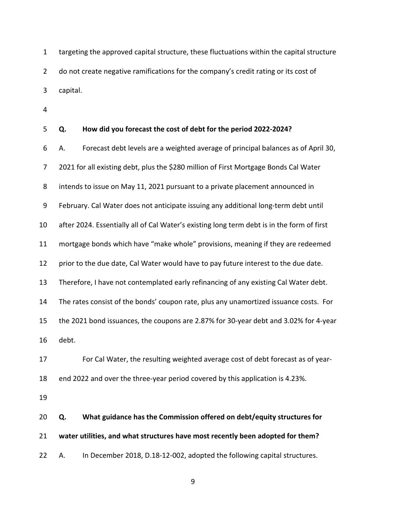1 targeting the approved capital structure, these fluctuations within the capital structure 2 do not create negative ramifications for the company's credit rating or its cost of 3 capital.

4

| 5              | Q.    | How did you forecast the cost of debt for the period 2022-2024?                            |
|----------------|-------|--------------------------------------------------------------------------------------------|
| 6              | А.    | Forecast debt levels are a weighted average of principal balances as of April 30,          |
| $\overline{7}$ |       | 2021 for all existing debt, plus the \$280 million of First Mortgage Bonds Cal Water       |
| 8              |       | intends to issue on May 11, 2021 pursuant to a private placement announced in              |
| 9              |       | February. Cal Water does not anticipate issuing any additional long-term debt until        |
| 10             |       | after 2024. Essentially all of Cal Water's existing long term debt is in the form of first |
| 11             |       | mortgage bonds which have "make whole" provisions, meaning if they are redeemed            |
| 12             |       | prior to the due date, Cal Water would have to pay future interest to the due date.        |
| 13             |       | Therefore, I have not contemplated early refinancing of any existing Cal Water debt.       |
| 14             |       | The rates consist of the bonds' coupon rate, plus any unamortized issuance costs. For      |
| 15             |       | the 2021 bond issuances, the coupons are 2.87% for 30-year debt and 3.02% for 4-year       |
| 16             | debt. |                                                                                            |
| 17             |       | For Cal Water, the resulting weighted average cost of debt forecast as of year-            |
| 18             |       | end 2022 and over the three-year period covered by this application is 4.23%.              |
| 19             |       |                                                                                            |
| 20             | Q.    | What guidance has the Commission offered on debt/equity structures for                     |
| 21             |       | water utilities, and what structures have most recently been adopted for them?             |
| 22             | А.    | In December 2018, D.18-12-002, adopted the following capital structures.                   |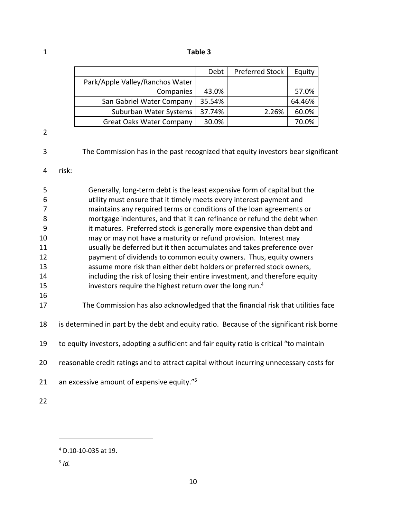1 **Table 3**

|                                 | Debt   | <b>Preferred Stock</b> | Equity |
|---------------------------------|--------|------------------------|--------|
| Park/Apple Valley/Ranchos Water |        |                        |        |
| Companies                       | 43.0%  |                        | 57.0%  |
| San Gabriel Water Company       | 35.54% |                        | 64.46% |
| Suburban Water Systems          | 37.74% | 2.26%                  | 60.0%  |
| <b>Great Oaks Water Company</b> | 30.0%  |                        | 70.0%  |

2

3 The Commission has in the past recognized that equity investors bear significant

#### 4 risk:

| 5  | Generally, long-term debt is the least expensive form of capital but the   |
|----|----------------------------------------------------------------------------|
| 6  | utility must ensure that it timely meets every interest payment and        |
|    | maintains any required terms or conditions of the loan agreements or       |
| 8  | mortgage indentures, and that it can refinance or refund the debt when     |
| 9  | it matures. Preferred stock is generally more expensive than debt and      |
| 10 | may or may not have a maturity or refund provision. Interest may           |
| 11 | usually be deferred but it then accumulates and takes preference over      |
| 12 | payment of dividends to common equity owners. Thus, equity owners          |
| 13 | assume more risk than either debt holders or preferred stock owners,       |
| 14 | including the risk of losing their entire investment, and therefore equity |
| 15 | investors require the highest return over the long run. <sup>4</sup>       |
| 16 |                                                                            |

17 The Commission has also acknowledged that the financial risk that utilities face

18 is determined in part by the debt and equity ratio. Because of the significant risk borne

19 to equity investors, adopting a sufficient and fair equity ratio is critical "to maintain

20 reasonable credit ratings and to attract capital without incurring unnecessary costs for

21 an excessive amount of expensive equity."<sup>5</sup>

22

<sup>4</sup> D.10-10-035 at 19.

<sup>5</sup> *Id.*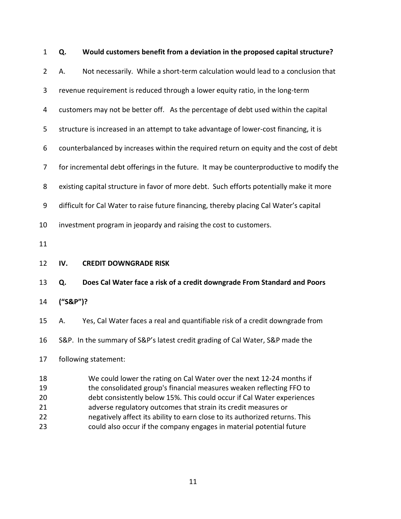<span id="page-12-0"></span>

| $\mathbf{1}$                     | Q.                                                                                      | Would customers benefit from a deviation in the proposed capital structure?                                                                                                                                                                                                                                                                                                                                                                     |  |  |  |
|----------------------------------|-----------------------------------------------------------------------------------------|-------------------------------------------------------------------------------------------------------------------------------------------------------------------------------------------------------------------------------------------------------------------------------------------------------------------------------------------------------------------------------------------------------------------------------------------------|--|--|--|
| $\overline{2}$                   | А.                                                                                      | Not necessarily. While a short-term calculation would lead to a conclusion that                                                                                                                                                                                                                                                                                                                                                                 |  |  |  |
| 3                                | revenue requirement is reduced through a lower equity ratio, in the long-term           |                                                                                                                                                                                                                                                                                                                                                                                                                                                 |  |  |  |
| 4                                |                                                                                         | customers may not be better off. As the percentage of debt used within the capital                                                                                                                                                                                                                                                                                                                                                              |  |  |  |
| 5                                |                                                                                         | structure is increased in an attempt to take advantage of lower-cost financing, it is                                                                                                                                                                                                                                                                                                                                                           |  |  |  |
| 6                                |                                                                                         | counterbalanced by increases within the required return on equity and the cost of debt                                                                                                                                                                                                                                                                                                                                                          |  |  |  |
| 7                                | for incremental debt offerings in the future. It may be counterproductive to modify the |                                                                                                                                                                                                                                                                                                                                                                                                                                                 |  |  |  |
| 8                                | existing capital structure in favor of more debt. Such efforts potentially make it more |                                                                                                                                                                                                                                                                                                                                                                                                                                                 |  |  |  |
| $\boldsymbol{9}$                 | difficult for Cal Water to raise future financing, thereby placing Cal Water's capital  |                                                                                                                                                                                                                                                                                                                                                                                                                                                 |  |  |  |
| 10                               | investment program in jeopardy and raising the cost to customers.                       |                                                                                                                                                                                                                                                                                                                                                                                                                                                 |  |  |  |
| 11                               |                                                                                         |                                                                                                                                                                                                                                                                                                                                                                                                                                                 |  |  |  |
| 12                               | IV.                                                                                     | <b>CREDIT DOWNGRADE RISK</b>                                                                                                                                                                                                                                                                                                                                                                                                                    |  |  |  |
| 13                               | Q.                                                                                      | Does Cal Water face a risk of a credit downgrade From Standard and Poors                                                                                                                                                                                                                                                                                                                                                                        |  |  |  |
| 14                               | ("S&P")?                                                                                |                                                                                                                                                                                                                                                                                                                                                                                                                                                 |  |  |  |
| 15                               | А.                                                                                      | Yes, Cal Water faces a real and quantifiable risk of a credit downgrade from                                                                                                                                                                                                                                                                                                                                                                    |  |  |  |
| 16                               |                                                                                         | S&P. In the summary of S&P's latest credit grading of Cal Water, S&P made the                                                                                                                                                                                                                                                                                                                                                                   |  |  |  |
| 17                               | following statement:                                                                    |                                                                                                                                                                                                                                                                                                                                                                                                                                                 |  |  |  |
| 18<br>19<br>20<br>21<br>22<br>23 |                                                                                         | We could lower the rating on Cal Water over the next 12-24 months if<br>the consolidated group's financial measures weaken reflecting FFO to<br>debt consistently below 15%. This could occur if Cal Water experiences<br>adverse regulatory outcomes that strain its credit measures or<br>negatively affect its ability to earn close to its authorized returns. This<br>could also occur if the company engages in material potential future |  |  |  |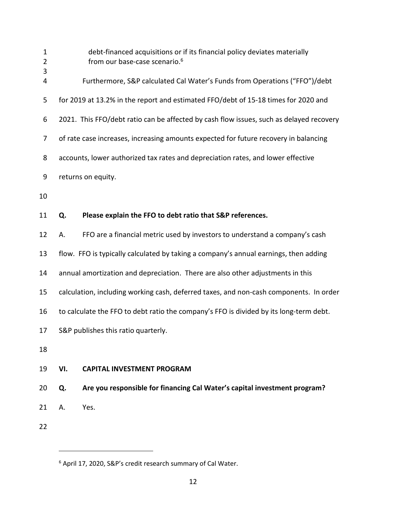| $\mathbf 1$<br>$\overline{2}$<br>3 |                                                                                        | debt-financed acquisitions or if its financial policy deviates materially<br>from our base-case scenario. <sup>6</sup> |  |
|------------------------------------|----------------------------------------------------------------------------------------|------------------------------------------------------------------------------------------------------------------------|--|
| 4                                  |                                                                                        | Furthermore, S&P calculated Cal Water's Funds from Operations ("FFO")/debt                                             |  |
| 5                                  |                                                                                        | for 2019 at 13.2% in the report and estimated FFO/debt of 15-18 times for 2020 and                                     |  |
| 6                                  |                                                                                        | 2021. This FFO/debt ratio can be affected by cash flow issues, such as delayed recovery                                |  |
| 7                                  | of rate case increases, increasing amounts expected for future recovery in balancing   |                                                                                                                        |  |
| 8                                  | accounts, lower authorized tax rates and depreciation rates, and lower effective       |                                                                                                                        |  |
| 9                                  | returns on equity.                                                                     |                                                                                                                        |  |
| 10                                 |                                                                                        |                                                                                                                        |  |
| 11                                 | Q.                                                                                     | Please explain the FFO to debt ratio that S&P references.                                                              |  |
| 12                                 | А.                                                                                     | FFO are a financial metric used by investors to understand a company's cash                                            |  |
| 13                                 |                                                                                        | flow. FFO is typically calculated by taking a company's annual earnings, then adding                                   |  |
| 14                                 | annual amortization and depreciation. There are also other adjustments in this         |                                                                                                                        |  |
| 15                                 | calculation, including working cash, deferred taxes, and non-cash components. In order |                                                                                                                        |  |
| 16                                 | to calculate the FFO to debt ratio the company's FFO is divided by its long-term debt. |                                                                                                                        |  |
| 17                                 | S&P publishes this ratio quarterly.                                                    |                                                                                                                        |  |
| 18                                 |                                                                                        |                                                                                                                        |  |
| 19                                 | VI.                                                                                    | <b>CAPITAL INVESTMENT PROGRAM</b>                                                                                      |  |
| 20                                 | Q.                                                                                     | Are you responsible for financing Cal Water's capital investment program?                                              |  |
| 21                                 | Α.                                                                                     | Yes.                                                                                                                   |  |
| 22                                 |                                                                                        |                                                                                                                        |  |

<span id="page-13-0"></span>

<sup>&</sup>lt;sup>6</sup> April 17, 2020, S&P's credit research summary of Cal Water.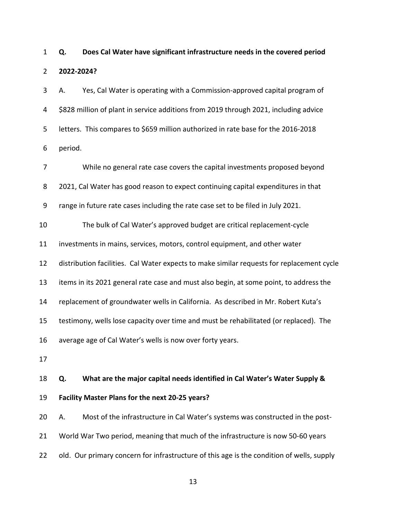1 **Q. Does Cal Water have significant infrastructure needs in the covered period**  2 **2022-2024?** 

3 A. Yes, Cal Water is operating with a Commission-approved capital program of 4 \$828 million of plant in service additions from 2019 through 2021, including advice 5 letters. This compares to \$659 million authorized in rate base for the 2016-2018 6 period.

7 While no general rate case covers the capital investments proposed beyond 8 2021, Cal Water has good reason to expect continuing capital expenditures in that 9 range in future rate cases including the rate case set to be filed in July 2021. 10 The bulk of Cal Water's approved budget are critical replacement-cycle 11 investments in mains, services, motors, control equipment, and other water 12 distribution facilities. Cal Water expects to make similar requests for replacement cycle 13 items in its 2021 general rate case and must also begin, at some point, to address the 14 replacement of groundwater wells in California. As described in Mr. Robert Kuta's 15 testimony, wells lose capacity over time and must be rehabilitated (or replaced). The 16 average age of Cal Water's wells is now over forty years. 17 18 **Q. What are the major capital needs identified in Cal Water's Water Supply &** 

19 **Facility Master Plans for the next 20-25 years?** 

20 A. Most of the infrastructure in Cal Water's systems was constructed in the post-21 World War Two period, meaning that much of the infrastructure is now 50-60 years 22 old. Our primary concern for infrastructure of this age is the condition of wells, supply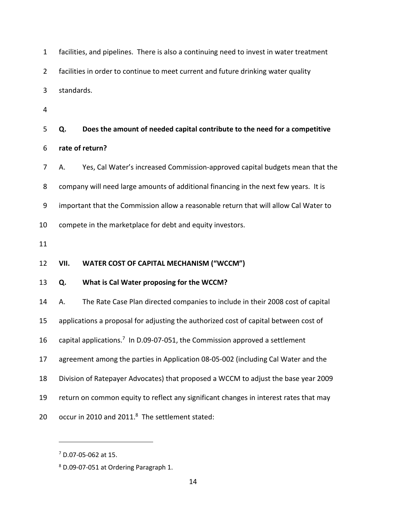| $\mathbf{1}$   | facilities, and pipelines. There is also a continuing need to invest in water treatment |                                                                                |  |  |
|----------------|-----------------------------------------------------------------------------------------|--------------------------------------------------------------------------------|--|--|
| $\overline{2}$ | facilities in order to continue to meet current and future drinking water quality       |                                                                                |  |  |
| 3              |                                                                                         | standards.                                                                     |  |  |
| 4              |                                                                                         |                                                                                |  |  |
| 5              | Q.                                                                                      | Does the amount of needed capital contribute to the need for a competitive     |  |  |
| 6              | rate of return?                                                                         |                                                                                |  |  |
| 7              | А.                                                                                      | Yes, Cal Water's increased Commission-approved capital budgets mean that the   |  |  |
| 8              | company will need large amounts of additional financing in the next few years. It is    |                                                                                |  |  |
| 9              | important that the Commission allow a reasonable return that will allow Cal Water to    |                                                                                |  |  |
| 10             | compete in the marketplace for debt and equity investors.                               |                                                                                |  |  |
| 11             |                                                                                         |                                                                                |  |  |
| 12             | VII.                                                                                    | <b>WATER COST OF CAPITAL MECHANISM ("WCCM")</b>                                |  |  |
| 13             | Q.                                                                                      | What is Cal Water proposing for the WCCM?                                      |  |  |
| 14             | А.                                                                                      | The Rate Case Plan directed companies to include in their 2008 cost of capital |  |  |
| 15             | applications a proposal for adjusting the authorized cost of capital between cost of    |                                                                                |  |  |
| 16             | capital applications. <sup>7</sup> In D.09-07-051, the Commission approved a settlement |                                                                                |  |  |
| 17             | agreement among the parties in Application 08-05-002 (including Cal Water and the       |                                                                                |  |  |
| 18             | Division of Ratepayer Advocates) that proposed a WCCM to adjust the base year 2009      |                                                                                |  |  |
| 19             | return on common equity to reflect any significant changes in interest rates that may   |                                                                                |  |  |
| 20             | occur in 2010 and 2011.8 The settlement stated:                                         |                                                                                |  |  |

<span id="page-15-0"></span><sup>7</sup> D.07-05-062 at 15.

<sup>8</sup> D.09-07-051 at Ordering Paragraph 1.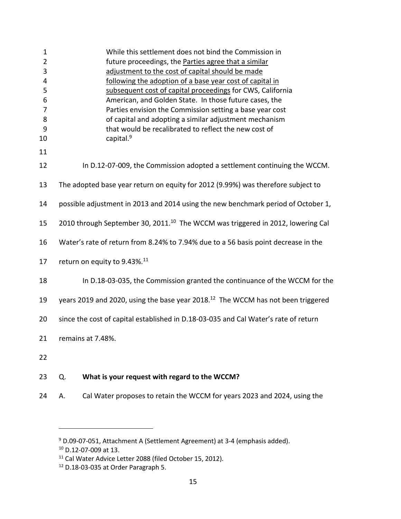| $\mathbf 1$    |                                                                                              | While this settlement does not bind the Commission in                      |  |
|----------------|----------------------------------------------------------------------------------------------|----------------------------------------------------------------------------|--|
| $\overline{2}$ |                                                                                              | future proceedings, the Parties agree that a similar                       |  |
| 3              |                                                                                              | adjustment to the cost of capital should be made                           |  |
| 4              |                                                                                              | following the adoption of a base year cost of capital in                   |  |
| 5              |                                                                                              | subsequent cost of capital proceedings for CWS, California                 |  |
| 6              |                                                                                              | American, and Golden State. In those future cases, the                     |  |
| 7              |                                                                                              | Parties envision the Commission setting a base year cost                   |  |
| 8              |                                                                                              | of capital and adopting a similar adjustment mechanism                     |  |
| 9              |                                                                                              | that would be recalibrated to reflect the new cost of                      |  |
| 10             |                                                                                              | capital. <sup>9</sup>                                                      |  |
|                |                                                                                              |                                                                            |  |
| 11             |                                                                                              |                                                                            |  |
| 12             | In D.12-07-009, the Commission adopted a settlement continuing the WCCM.                     |                                                                            |  |
| 13             | The adopted base year return on equity for 2012 (9.99%) was therefore subject to             |                                                                            |  |
| 14             | possible adjustment in 2013 and 2014 using the new benchmark period of October 1,            |                                                                            |  |
| 15             | 2010 through September 30, 2011. <sup>10</sup> The WCCM was triggered in 2012, lowering Cal  |                                                                            |  |
| 16             | Water's rate of return from 8.24% to 7.94% due to a 56 basis point decrease in the           |                                                                            |  |
| 17             | return on equity to 9.43%. <sup>11</sup>                                                     |                                                                            |  |
| 18             |                                                                                              | In D.18-03-035, the Commission granted the continuance of the WCCM for the |  |
| 19             | years 2019 and 2020, using the base year 2018. <sup>12</sup> The WCCM has not been triggered |                                                                            |  |
| 20             | since the cost of capital established in D.18-03-035 and Cal Water's rate of return          |                                                                            |  |
| 21             | remains at 7.48%.                                                                            |                                                                            |  |
| 22             |                                                                                              |                                                                            |  |
| 23             | Q.                                                                                           | What is your request with regard to the WCCM?                              |  |
| 24             | А.                                                                                           | Cal Water proposes to retain the WCCM for years 2023 and 2024, using the   |  |

<sup>&</sup>lt;sup>9</sup> D.09-07-051, Attachment A (Settlement Agreement) at 3-4 (emphasis added).

<sup>10</sup> D.12-07-009 at 13.

<sup>11</sup> Cal Water Advice Letter 2088 (filed October 15, 2012).

<sup>12</sup> D.18-03-035 at Order Paragraph 5.